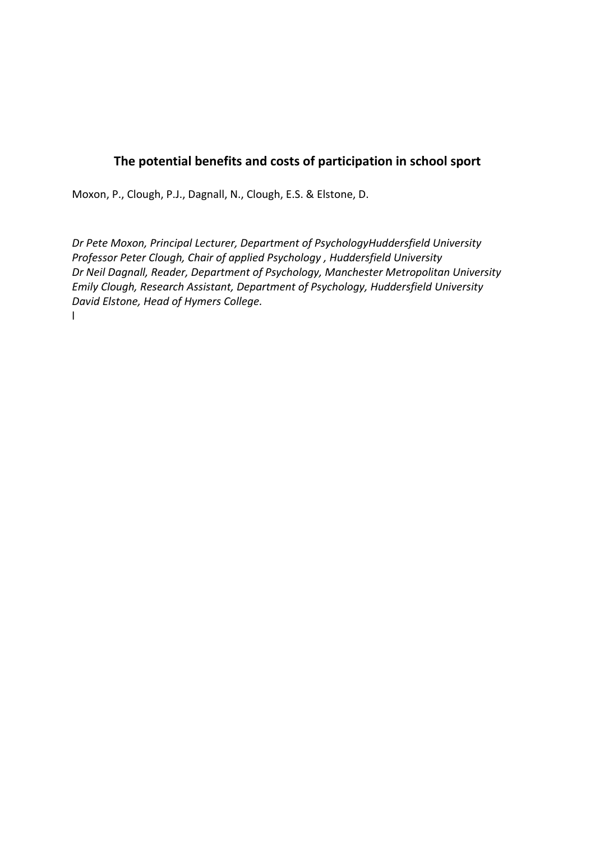# **The potential benefits and costs of participation in school sport**

Moxon, P., Clough, P.J., Dagnall, N., Clough, E.S. & Elstone, D.

*Dr Pete Moxon, Principal Lecturer, Department of PsychologyHuddersfield University Professor Peter Clough, Chair of applied Psychology , Huddersfield University Dr Neil Dagnall, Reader, Department of Psychology, Manchester Metropolitan University Emily Clough, Research Assistant, Department of Psychology, Huddersfield University David Elstone, Head of Hymers College.* l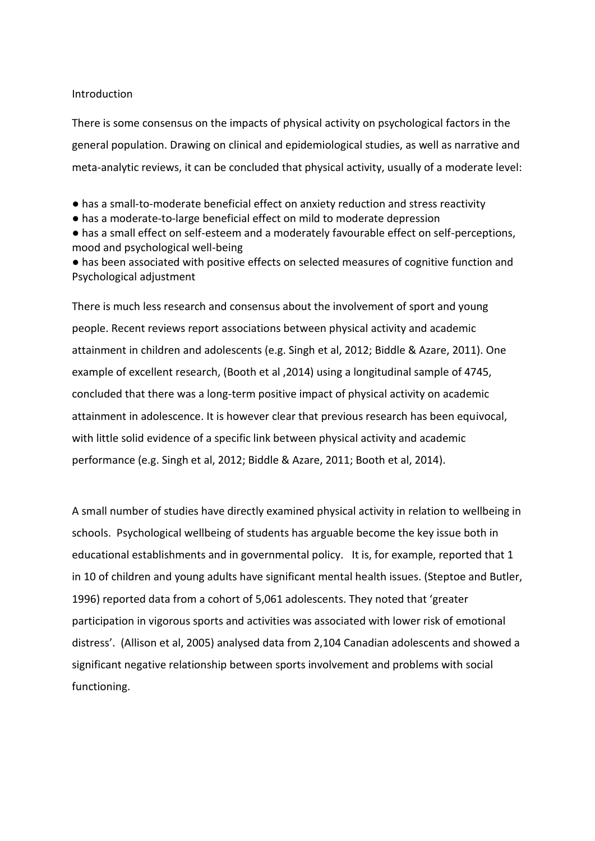#### Introduction

There is some consensus on the impacts of physical activity on psychological factors in the general population. Drawing on clinical and epidemiological studies, as well as narrative and meta-analytic reviews, it can be concluded that physical activity, usually of a moderate level:

- has a small-to-moderate beneficial effect on anxiety reduction and stress reactivity
- has a moderate-to-large beneficial effect on mild to moderate depression

● has a small effect on self-esteem and a moderately favourable effect on self-perceptions, mood and psychological well-being

● has been associated with positive effects on selected measures of cognitive function and Psychological adjustment

There is much less research and consensus about the involvement of sport and young people. Recent reviews report associations between physical activity and academic attainment in children and adolescents (e.g. Singh et al, 2012; Biddle & Azare, 2011). One example of excellent research, (Booth et al ,2014) using a longitudinal sample of 4745, concluded that there was a long-term positive impact of physical activity on academic attainment in adolescence. It is however clear that previous research has been equivocal, with little solid evidence of a specific link between physical activity and academic performance (e.g. Singh et al, 2012; Biddle & Azare, 2011; Booth et al, 2014).

A small number of studies have directly examined physical activity in relation to wellbeing in schools. Psychological wellbeing of students has arguable become the key issue both in educational establishments and in governmental policy. It is, for example, reported that 1 in 10 of children and young adults have significant mental health issues. (Steptoe and Butler, 1996) reported data from a cohort of 5,061 adolescents. They noted that 'greater participation in vigorous sports and activities was associated with lower risk of emotional distress'. (Allison et al, 2005) analysed data from 2,104 Canadian adolescents and showed a significant negative relationship between sports involvement and problems with social functioning.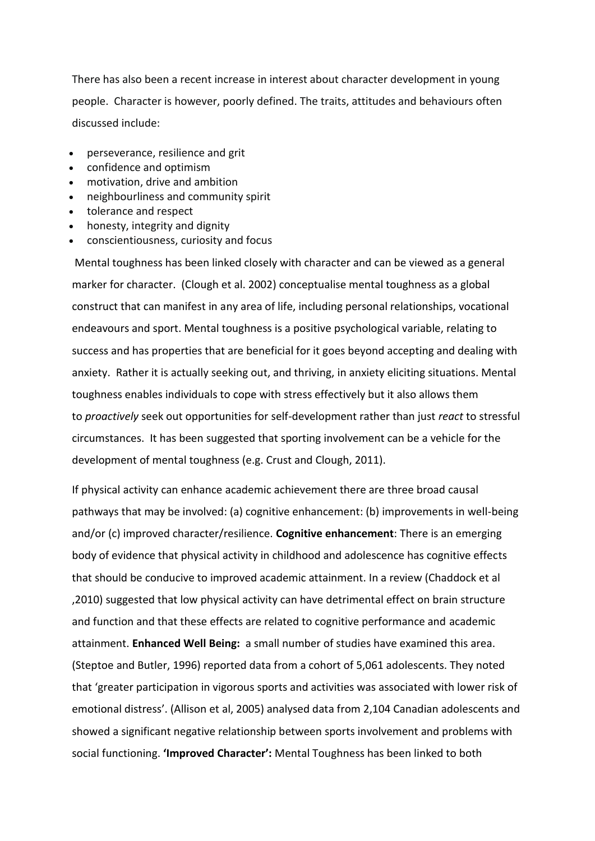There has also been a recent increase in interest about character development in young people. Character is however, poorly defined. The traits, attitudes and behaviours often discussed include:

- perseverance, resilience and grit
- confidence and optimism
- motivation, drive and ambition
- neighbourliness and community spirit
- tolerance and respect
- honesty, integrity and dignity
- conscientiousness, curiosity and focus

Mental toughness has been linked closely with character and can be viewed as a general marker for character. (Clough et al. 2002) conceptualise mental toughness as a global construct that can manifest in any area of life, including personal relationships, vocational endeavours and sport. Mental toughness is a positive psychological variable, relating to success and has properties that are beneficial for it goes beyond accepting and dealing with anxiety. Rather it is actually seeking out, and thriving, in anxiety eliciting situations. Mental toughness enables individuals to cope with stress effectively but it also allows them to *proactively* seek out opportunities for self-development rather than just *react* to stressful circumstances. It has been suggested that sporting involvement can be a vehicle for the development of mental toughness (e.g. Crust and Clough, 2011).

If physical activity can enhance academic achievement there are three broad causal pathways that may be involved: (a) cognitive enhancement: (b) improvements in well-being and/or (c) improved character/resilience. **Cognitive enhancement**: There is an emerging body of evidence that physical activity in childhood and adolescence has cognitive effects that should be conducive to improved academic attainment. In a review (Chaddock et al ,2010) suggested that low physical activity can have detrimental effect on brain structure and function and that these effects are related to cognitive performance and academic attainment. **Enhanced Well Being:** a small number of studies have examined this area. (Steptoe and Butler, 1996) reported data from a cohort of 5,061 adolescents. They noted that 'greater participation in vigorous sports and activities was associated with lower risk of emotional distress'. (Allison et al, 2005) analysed data from 2,104 Canadian adolescents and showed a significant negative relationship between sports involvement and problems with social functioning. **'Improved Character':** Mental Toughness has been linked to both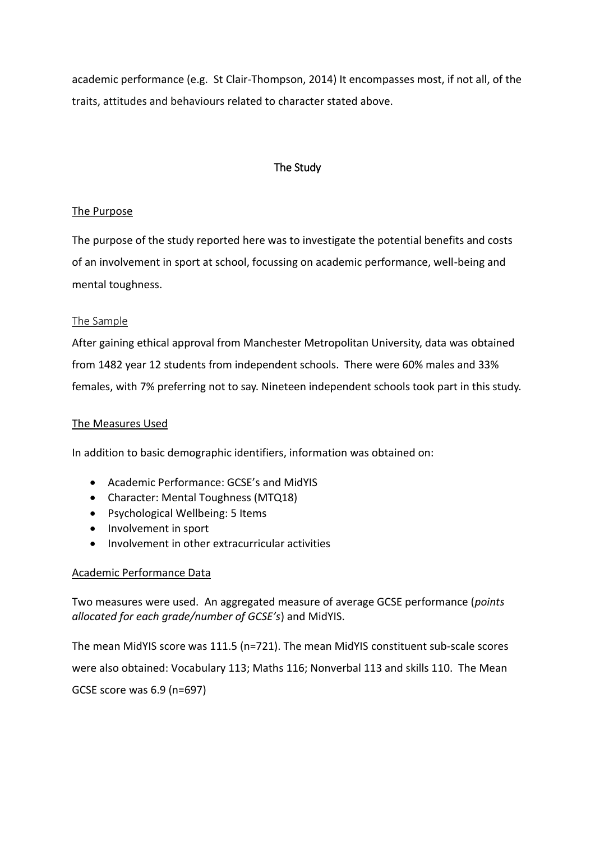academic performance (e.g. St Clair-Thompson, 2014) It encompasses most, if not all, of the traits, attitudes and behaviours related to character stated above.

## The Study

### The Purpose

The purpose of the study reported here was to investigate the potential benefits and costs of an involvement in sport at school, focussing on academic performance, well-being and mental toughness.

### The Sample

After gaining ethical approval from Manchester Metropolitan University, data was obtained from 1482 year 12 students from independent schools. There were 60% males and 33% females, with 7% preferring not to say. Nineteen independent schools took part in this study.

#### The Measures Used

In addition to basic demographic identifiers, information was obtained on:

- Academic Performance: GCSE's and MidYIS
- Character: Mental Toughness (MTQ18)
- Psychological Wellbeing: 5 Items
- Involvement in sport
- Involvement in other extracurricular activities

#### Academic Performance Data

Two measures were used. An aggregated measure of average GCSE performance (*points allocated for each grade/number of GCSE's*) and MidYIS.

The mean MidYIS score was 111.5 (n=721). The mean MidYIS constituent sub-scale scores were also obtained: Vocabulary 113; Maths 116; Nonverbal 113 and skills 110. The Mean GCSE score was 6.9 (n=697)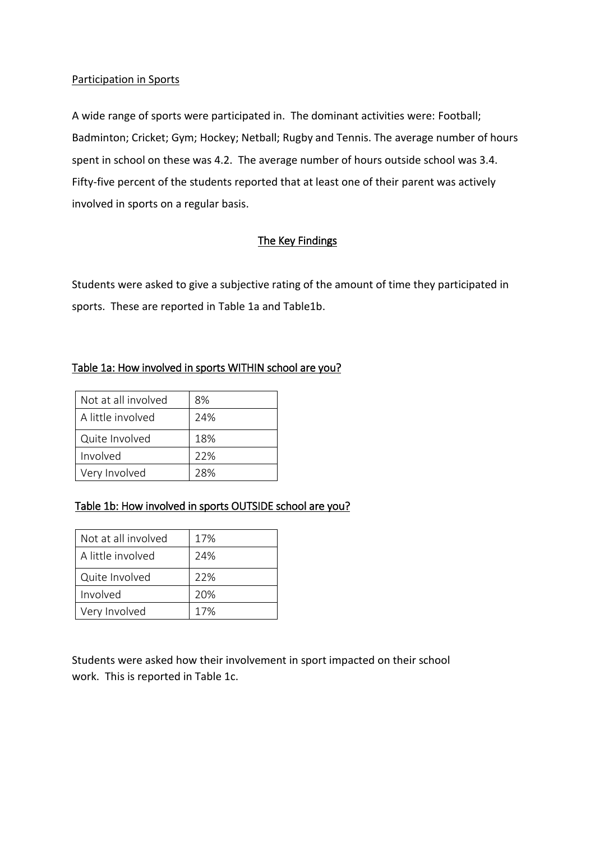### Participation in Sports

A wide range of sports were participated in. The dominant activities were: Football; Badminton; Cricket; Gym; Hockey; Netball; Rugby and Tennis. The average number of hours spent in school on these was 4.2. The average number of hours outside school was 3.4. Fifty-five percent of the students reported that at least one of their parent was actively involved in sports on a regular basis.

## The Key Findings

Students were asked to give a subjective rating of the amount of time they participated in sports. These are reported in Table 1a and Table1b.

### Table 1a: How involved in sports WITHIN school are you?

| Not at all involved | 8%  |
|---------------------|-----|
| A little involved   | 24% |
| Quite Involved      | 18% |
| Involved            | 22% |
| Very Involved       | 28% |

# Table 1b: How involved in sports OUTSIDE school are you?

| Not at all involved | 17% |
|---------------------|-----|
| A little involved   | 24% |
| Quite Involved      | 22% |
| Involved            | 20% |
| Very Involved       | 17% |

Students were asked how their involvement in sport impacted on their school work. This is reported in Table 1c.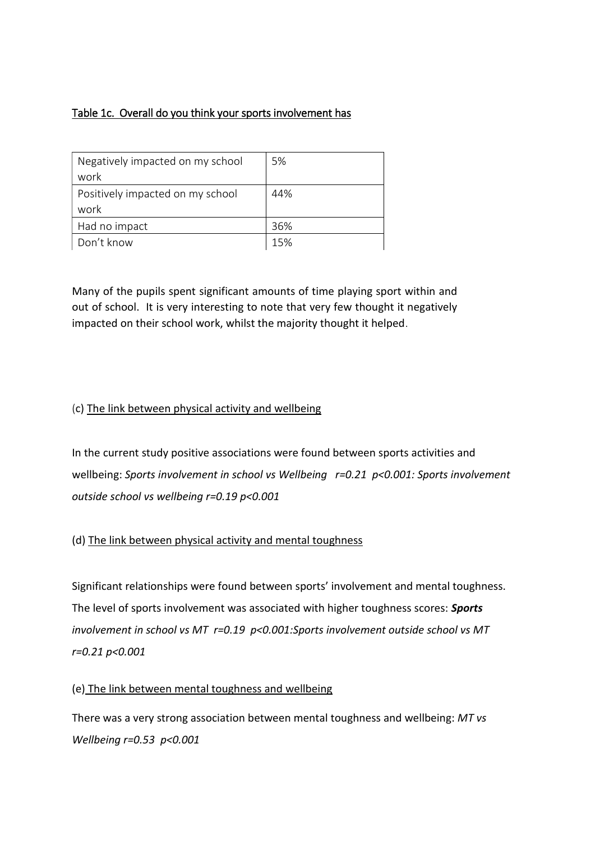# Table 1c. Overall do you think your sports involvement has

| Negatively impacted on my school<br>work | 5%  |
|------------------------------------------|-----|
| Positively impacted on my school<br>work | 44% |
| Had no impact                            | 36% |
| Don't know                               | 15% |

Many of the pupils spent significant amounts of time playing sport within and out of school. It is very interesting to note that very few thought it negatively impacted on their school work, whilst the majority thought it helped.

# (c) The link between physical activity and wellbeing

In the current study positive associations were found between sports activities and wellbeing: *Sports involvement in school vs Wellbeing r=0.21 p<0.001: Sports involvement outside school vs wellbeing r=0.19 p<0.001*

# (d) The link between physical activity and mental toughness

Significant relationships were found between sports' involvement and mental toughness. The level of sports involvement was associated with higher toughness scores: *Sports involvement in school vs MT r=0.19 p<0.001:Sports involvement outside school vs MT r=0.21 p<0.001*

### (e) The link between mental toughness and wellbeing

There was a very strong association between mental toughness and wellbeing: *MT vs Wellbeing r=0.53 p<0.001*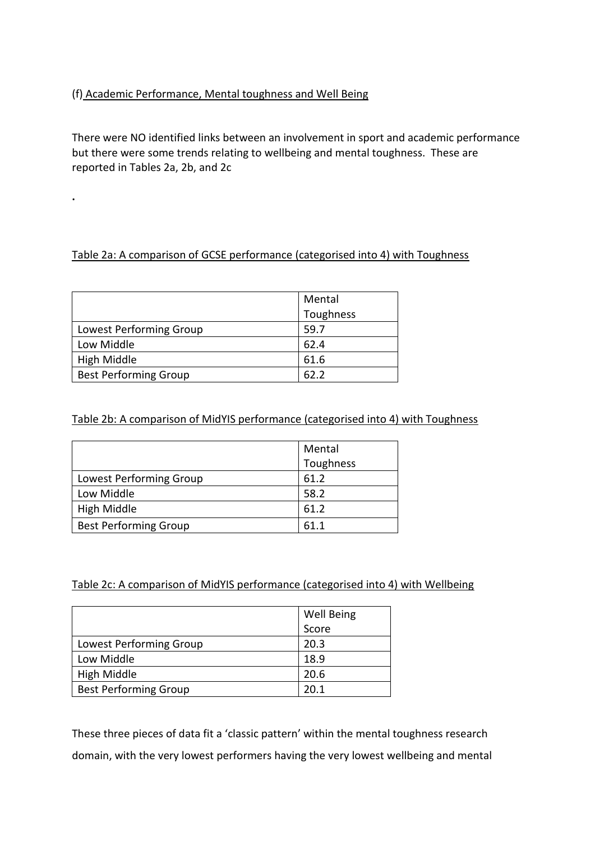## (f) Academic Performance, Mental toughness and Well Being

**.**

There were NO identified links between an involvement in sport and academic performance but there were some trends relating to wellbeing and mental toughness. These are reported in Tables 2a, 2b, and 2c

## Table 2a: A comparison of GCSE performance (categorised into 4) with Toughness

|                              | Mental<br>Toughness |
|------------------------------|---------------------|
|                              |                     |
| Lowest Performing Group      | 59.7                |
| Low Middle                   | 62.4                |
| High Middle                  | 61.6                |
| <b>Best Performing Group</b> | 62.2                |

### Table 2b: A comparison of MidYIS performance (categorised into 4) with Toughness

|                              | Mental    |
|------------------------------|-----------|
|                              | Toughness |
| Lowest Performing Group      | 61.2      |
| Low Middle                   | 58.2      |
| High Middle                  | 61.2      |
| <b>Best Performing Group</b> | 61 1      |

### Table 2c: A comparison of MidYIS performance (categorised into 4) with Wellbeing

|                              | <b>Well Being</b> |
|------------------------------|-------------------|
|                              | Score             |
| Lowest Performing Group      | 20.3              |
| Low Middle                   | 18.9              |
| High Middle                  | 20.6              |
| <b>Best Performing Group</b> | 20.1              |

These three pieces of data fit a 'classic pattern' within the mental toughness research domain, with the very lowest performers having the very lowest wellbeing and mental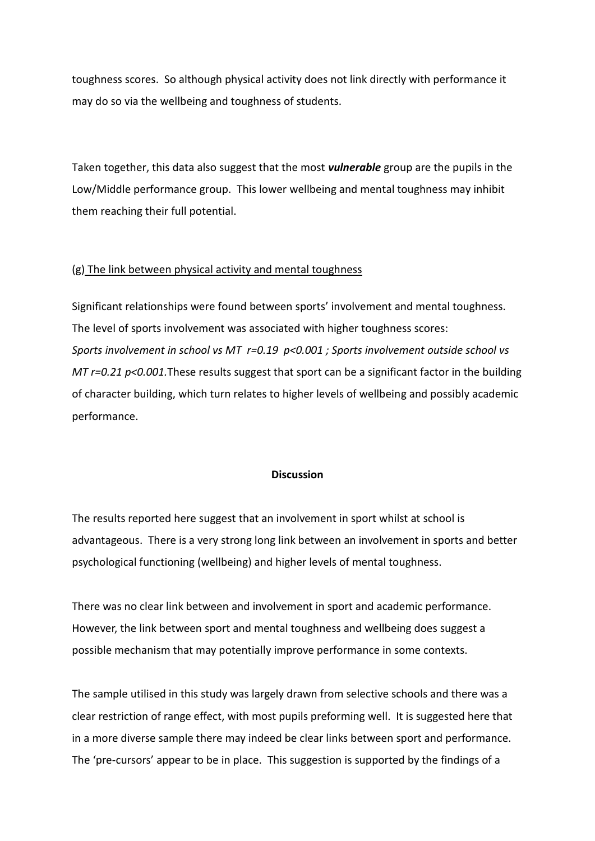toughness scores. So although physical activity does not link directly with performance it may do so via the wellbeing and toughness of students.

Taken together, this data also suggest that the most *vulnerable* group are the pupils in the Low/Middle performance group. This lower wellbeing and mental toughness may inhibit them reaching their full potential.

#### (g) The link between physical activity and mental toughness

Significant relationships were found between sports' involvement and mental toughness. The level of sports involvement was associated with higher toughness scores: *Sports involvement in school vs MT r=0.19 p<0.001 ; Sports involvement outside school vs MT r=0.21 p<0.001.*These results suggest that sport can be a significant factor in the building of character building, which turn relates to higher levels of wellbeing and possibly academic performance.

#### **Discussion**

The results reported here suggest that an involvement in sport whilst at school is advantageous. There is a very strong long link between an involvement in sports and better psychological functioning (wellbeing) and higher levels of mental toughness.

There was no clear link between and involvement in sport and academic performance. However, the link between sport and mental toughness and wellbeing does suggest a possible mechanism that may potentially improve performance in some contexts.

The sample utilised in this study was largely drawn from selective schools and there was a clear restriction of range effect, with most pupils preforming well. It is suggested here that in a more diverse sample there may indeed be clear links between sport and performance. The 'pre-cursors' appear to be in place. This suggestion is supported by the findings of a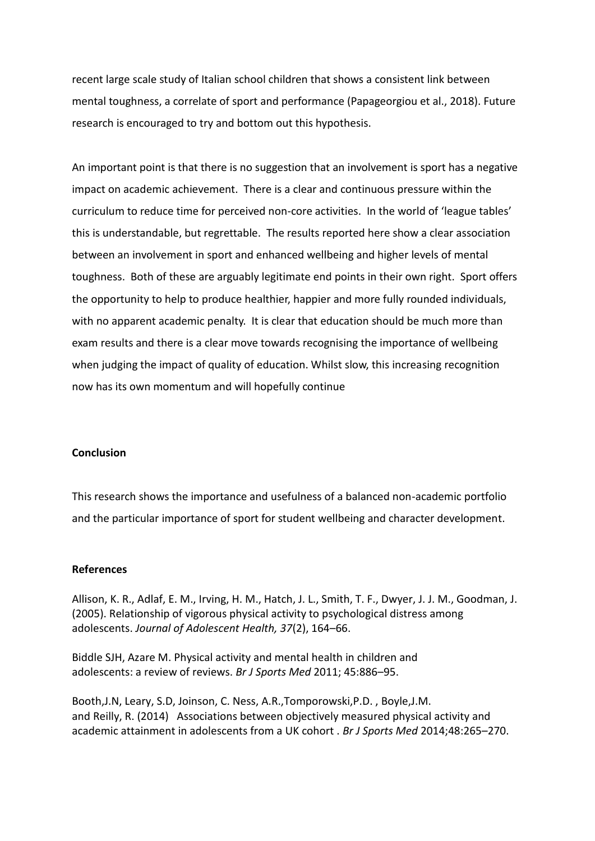recent large scale study of Italian school children that shows a consistent link between mental toughness, a correlate of sport and performance (Papageorgiou et al., 2018). Future research is encouraged to try and bottom out this hypothesis.

An important point is that there is no suggestion that an involvement is sport has a negative impact on academic achievement. There is a clear and continuous pressure within the curriculum to reduce time for perceived non-core activities. In the world of 'league tables' this is understandable, but regrettable. The results reported here show a clear association between an involvement in sport and enhanced wellbeing and higher levels of mental toughness. Both of these are arguably legitimate end points in their own right. Sport offers the opportunity to help to produce healthier, happier and more fully rounded individuals, with no apparent academic penalty. It is clear that education should be much more than exam results and there is a clear move towards recognising the importance of wellbeing when judging the impact of quality of education. Whilst slow, this increasing recognition now has its own momentum and will hopefully continue

#### **Conclusion**

This research shows the importance and usefulness of a balanced non-academic portfolio and the particular importance of sport for student wellbeing and character development.

#### **References**

Allison, K. R., Adlaf, E. M., Irving, H. M., Hatch, J. L., Smith, T. F., Dwyer, J. J. M., Goodman, J. (2005). Relationship of vigorous physical activity to psychological distress among adolescents. *Journal of Adolescent Health, 37*(2), 164–66.

Biddle SJH, Azare M. Physical activity and mental health in children and adolescents: a review of reviews. *Br J Sports Med* 2011; 45:886–95.

Booth,J.N, Leary, S.D, Joinson, C. Ness, A.R.,Tomporowski,P.D. , Boyle,J.M. and Reilly, R. (2014) Associations between objectively measured physical activity and academic attainment in adolescents from a UK cohort . *Br J Sports Med* 2014;48:265–270.